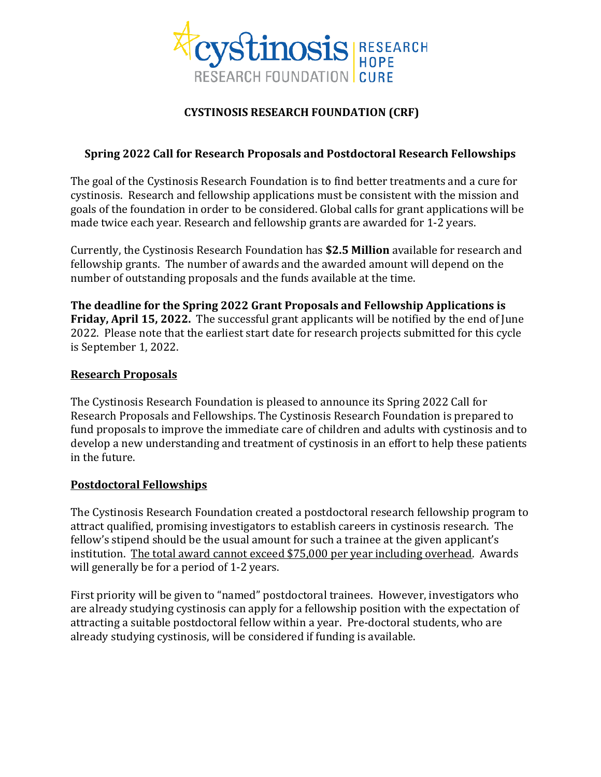

# **CYSTINOSIS RESEARCH FOUNDATION (CRF)**

# **Spring 2022 Call for Research Proposals and Postdoctoral Research Fellowships**

The goal of the Cystinosis Research Foundation is to find better treatments and a cure for cystinosis. Research and fellowship applications must be consistent with the mission and goals of the foundation in order to be considered. Global calls for grant applications will be made twice each year. Research and fellowship grants are awarded for 1-2 years.

Currently, the Cystinosis Research Foundation has **\$2.5 Million** available for research and fellowship grants. The number of awards and the awarded amount will depend on the number of outstanding proposals and the funds available at the time.

**The deadline for the Spring 2022 Grant Proposals and Fellowship Applications is Friday, April 15, 2022.** The successful grant applicants will be notified by the end of June 2022. Please note that the earliest start date for research projects submitted for this cycle is September 1, 2022.

### **Research Proposals**

The Cystinosis Research Foundation is pleased to announce its Spring 2022 Call for Research Proposals and Fellowships. The Cystinosis Research Foundation is prepared to fund proposals to improve the immediate care of children and adults with cystinosis and to develop a new understanding and treatment of cystinosis in an effort to help these patients in the future.

### **Postdoctoral Fellowships**

The Cystinosis Research Foundation created a postdoctoral research fellowship program to attract qualified, promising investigators to establish careers in cystinosis research. The fellow's stipend should be the usual amount for such a trainee at the given applicant's institution. The total award cannot exceed \$75,000 per year including overhead. Awards will generally be for a period of 1-2 years.

First priority will be given to "named" postdoctoral trainees. However, investigators who are already studying cystinosis can apply for a fellowship position with the expectation of attracting a suitable postdoctoral fellow within a year. Pre-doctoral students, who are already studying cystinosis, will be considered if funding is available.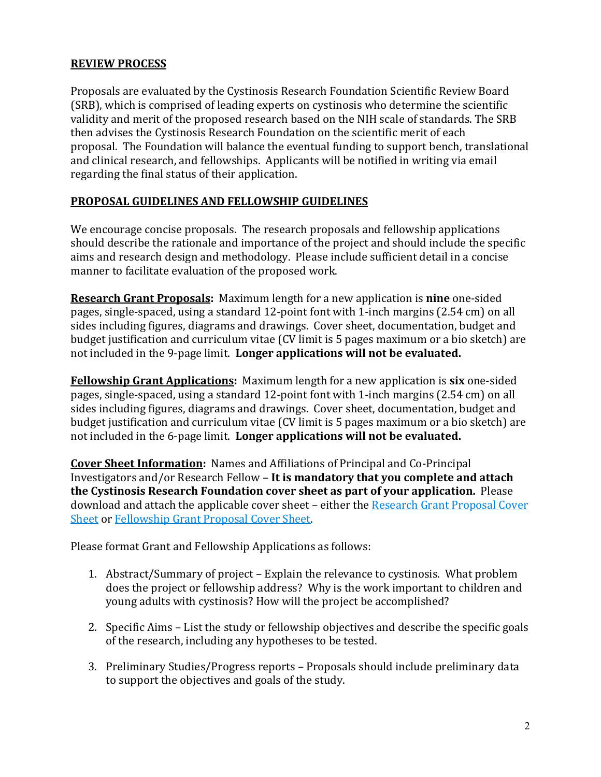### **REVIEW PROCESS**

Proposals are evaluated by the Cystinosis Research Foundation Scientific Review Board (SRB), which is comprised of leading experts on cystinosis who determine the scientific validity and merit of the proposed research based on the NIH scale of standards. The SRB then advises the Cystinosis Research Foundation on the scientific merit of each proposal. The Foundation will balance the eventual funding to support bench, translational and clinical research, and fellowships. Applicants will be notified in writing via email regarding the final status of their application.

### **PROPOSAL GUIDELINES AND FELLOWSHIP GUIDELINES**

We encourage concise proposals. The research proposals and fellowship applications should describe the rationale and importance of the project and should include the specific aims and research design and methodology. Please include sufficient detail in a concise manner to facilitate evaluation of the proposed work.

**Research Grant Proposals:** Maximum length for a new application is **nine** one-sided pages, single-spaced, using a standard 12-point font with 1-inch margins (2.54 cm) on all sides including figures, diagrams and drawings. Cover sheet, documentation, budget and budget justification and curriculum vitae (CV limit is 5 pages maximum or a bio sketch) are not included in the 9-page limit. **Longer applications will not be evaluated.**

**Fellowship Grant Applications:** Maximum length for a new application is **six** one-sided pages, single-spaced, using a standard 12-point font with 1-inch margins (2.54 cm) on all sides including figures, diagrams and drawings. Cover sheet, documentation, budget and budget justification and curriculum vitae (CV limit is 5 pages maximum or a bio sketch) are not included in the 6-page limit. **Longer applications will not be evaluated.**

**Cover Sheet Information:** Names and Affiliations of Principal and Co-Principal Investigators and/or Research Fellow – **It is mandatory that you complete and attach the Cystinosis Research Foundation cover sheet as part of your application.** Please download and attach the applicable cover sheet – either the [Research Grant Proposal Cover](http://www.cystinosisresearch.org/wp-content/uploads/2015/02/Research-Grant-Proposal-Cover-Sheet-UPDATED-REV.docx)  [Sheet](http://www.cystinosisresearch.org/wp-content/uploads/2015/02/Research-Grant-Proposal-Cover-Sheet-UPDATED-REV.docx) or [Fellowship Grant Proposal Cover Sheet.](http://www.cystinosisresearch.org/wp-content/uploads/2015/02/Fellowship-Grant-Proposal-Cover-Sheet-UPDATED-REV.docx)

Please format Grant and Fellowship Applications as follows:

- 1. Abstract/Summary of project Explain the relevance to cystinosis. What problem does the project or fellowship address? Why is the work important to children and young adults with cystinosis? How will the project be accomplished?
- 2. Specific Aims List the study or fellowship objectives and describe the specific goals of the research, including any hypotheses to be tested.
- 3. Preliminary Studies/Progress reports Proposals should include preliminary data to support the objectives and goals of the study.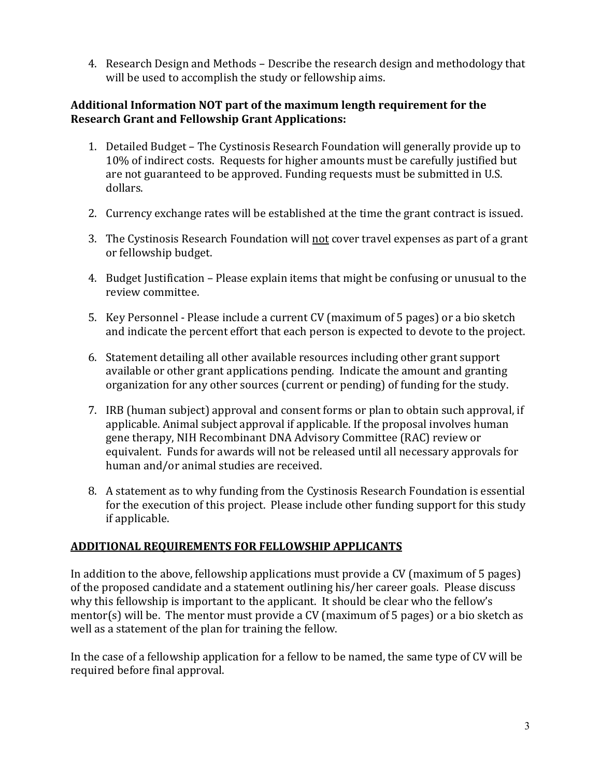4. Research Design and Methods – Describe the research design and methodology that will be used to accomplish the study or fellowship aims.

# **Additional Information NOT part of the maximum length requirement for the Research Grant and Fellowship Grant Applications:**

- 1. Detailed Budget The Cystinosis Research Foundation will generally provide up to 10% of indirect costs. Requests for higher amounts must be carefully justified but are not guaranteed to be approved. Funding requests must be submitted in U.S. dollars.
- 2. Currency exchange rates will be established at the time the grant contract is issued.
- 3. The Cystinosis Research Foundation will not cover travel expenses as part of a grant or fellowship budget.
- 4. Budget Justification Please explain items that might be confusing or unusual to the review committee.
- 5. Key Personnel Please include a current CV (maximum of 5 pages) or a bio sketch and indicate the percent effort that each person is expected to devote to the project.
- 6. Statement detailing all other available resources including other grant support available or other grant applications pending. Indicate the amount and granting organization for any other sources (current or pending) of funding for the study.
- 7. IRB (human subject) approval and consent forms or plan to obtain such approval, if applicable. Animal subject approval if applicable. If the proposal involves human gene therapy, NIH Recombinant DNA Advisory Committee (RAC) review or equivalent. Funds for awards will not be released until all necessary approvals for human and/or animal studies are received.
- 8. A statement as to why funding from the Cystinosis Research Foundation is essential for the execution of this project. Please include other funding support for this study if applicable.

# **ADDITIONAL REQUIREMENTS FOR FELLOWSHIP APPLICANTS**

In addition to the above, fellowship applications must provide a CV (maximum of 5 pages) of the proposed candidate and a statement outlining his/her career goals. Please discuss why this fellowship is important to the applicant. It should be clear who the fellow's mentor(s) will be. The mentor must provide a CV (maximum of 5 pages) or a bio sketch as well as a statement of the plan for training the fellow.

In the case of a fellowship application for a fellow to be named, the same type of CV will be required before final approval.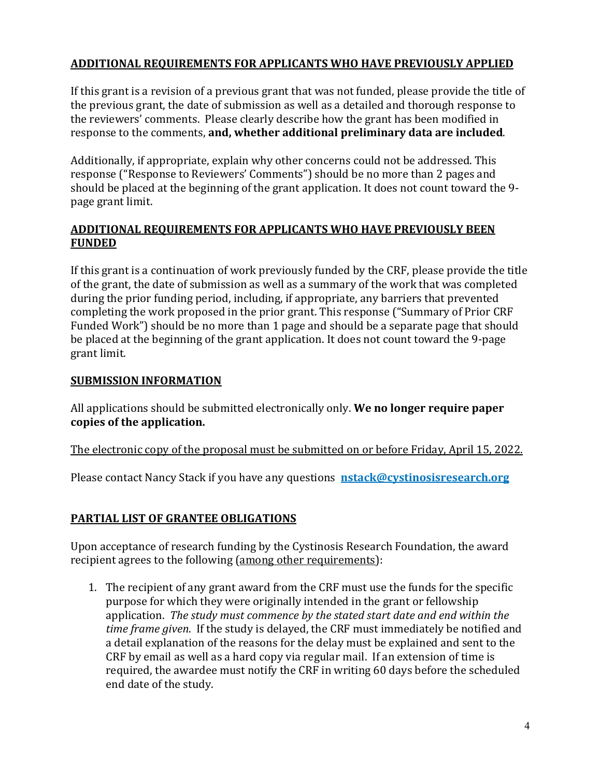### **ADDITIONAL REQUIREMENTS FOR APPLICANTS WHO HAVE PREVIOUSLY APPLIED**

If this grant is a revision of a previous grant that was not funded, please provide the title of the previous grant, the date of submission as well as a detailed and thorough response to the reviewers' comments. Please clearly describe how the grant has been modified in response to the comments, **and, whether additional preliminary data are included**.

Additionally, if appropriate, explain why other concerns could not be addressed. This response ("Response to Reviewers' Comments") should be no more than 2 pages and should be placed at the beginning of the grant application. It does not count toward the 9 page grant limit.

# **ADDITIONAL REQUIREMENTS FOR APPLICANTS WHO HAVE PREVIOUSLY BEEN FUNDED**

If this grant is a continuation of work previously funded by the CRF, please provide the title of the grant, the date of submission as well as a summary of the work that was completed during the prior funding period, including, if appropriate, any barriers that prevented completing the work proposed in the prior grant. This response ("Summary of Prior CRF Funded Work") should be no more than 1 page and should be a separate page that should be placed at the beginning of the grant application. It does not count toward the 9-page grant limit.

# **SUBMISSION INFORMATION**

All applications should be submitted electronically only. **We no longer require paper copies of the application.**

The electronic copy of the proposal must be submitted on or before Friday, April 15, 2022.

Please contact Nancy Stack if you have any questions **[nstack@cystinosisresearch.org](mailto:nstack@cystinosisresearch.org)**

# **PARTIAL LIST OF GRANTEE OBLIGATIONS**

Upon acceptance of research funding by the Cystinosis Research Foundation, the award recipient agrees to the following (among other requirements):

1. The recipient of any grant award from the CRF must use the funds for the specific purpose for which they were originally intended in the grant or fellowship application. *The study must commence by the stated start date and end within the time frame given*. If the study is delayed, the CRF must immediately be notified and a detail explanation of the reasons for the delay must be explained and sent to the CRF by email as well as a hard copy via regular mail. If an extension of time is required, the awardee must notify the CRF in writing 60 days before the scheduled end date of the study.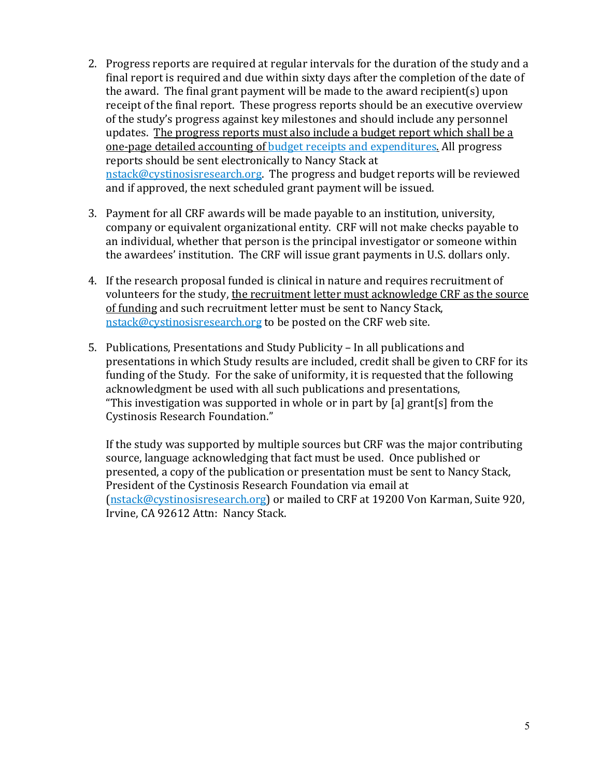- 2. Progress reports are required at regular intervals for the duration of the study and a final report is required and due within sixty days after the completion of the date of the award. The final grant payment will be made to the award recipient(s) upon receipt of the final report. These progress reports should be an executive overview of the study's progress against key milestones and should include any personnel updates. The progress reports must also include a budget report which shall be a one-page detailed accounting of [budget receipts and expenditures.](https://8xyg925bz0d3o7fuzqryurqp-wpengine.netdna-ssl.com/wp-content/uploads/2020/08/Report-of-Receipts-Expenditures-new-2020.xlsx) All progress reports should be sent electronically to Nancy Stack at [nstack@cystinosisresearch.org.](mailto:nstack@cystinosisresearch.org) The progress and budget reports will be reviewed and if approved, the next scheduled grant payment will be issued.
- 3. Payment for all CRF awards will be made payable to an institution, university, company or equivalent organizational entity. CRF will not make checks payable to an individual, whether that person is the principal investigator or someone within the awardees' institution. The CRF will issue grant payments in U.S. dollars only.
- 4. If the research proposal funded is clinical in nature and requires recruitment of volunteers for the study, the recruitment letter must acknowledge CRF as the source of funding and such recruitment letter must be sent to Nancy Stack, [nstack@cystinosisresearch.org](mailto:nstack@cystinosisresearch.org) to be posted on the CRF web site.
- 5. Publications, Presentations and Study Publicity In all publications and presentations in which Study results are included, credit shall be given to CRF for its funding of the Study. For the sake of uniformity, it is requested that the following acknowledgment be used with all such publications and presentations, "This investigation was supported in whole or in part by [a] grant[s] from the Cystinosis Research Foundation."

If the study was supported by multiple sources but CRF was the major contributing source, language acknowledging that fact must be used. Once published or presented, a copy of the publication or presentation must be sent to Nancy Stack, President of the Cystinosis Research Foundation via email at [\(nstack@cystinosisresearch.org\)](mailto:nstack@cystinosisresearch.org) or mailed to CRF at 19200 Von Karman, Suite 920, Irvine, CA 92612 Attn: Nancy Stack.